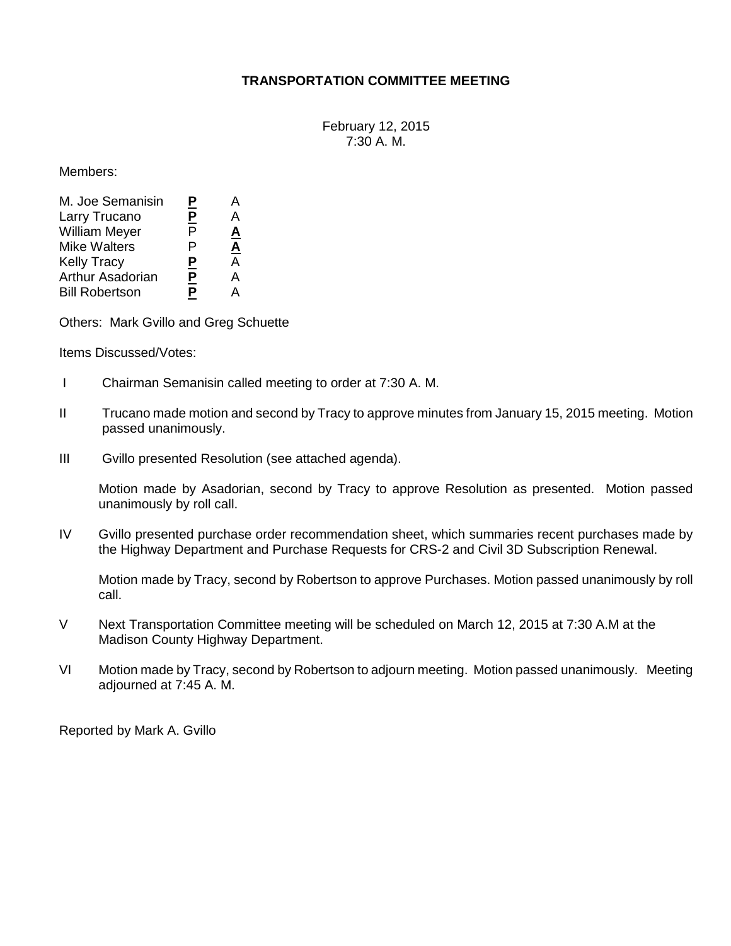## **TRANSPORTATION COMMITTEE MEETING**

February 12, 2015 7:30 A. M.

Members:

| <u>P</u> | А                        |
|----------|--------------------------|
|          | А                        |
| P        | <u>A</u>                 |
| P        | $\underline{\mathbf{A}}$ |
|          | А                        |
|          | А                        |
| Ρ        | А                        |
|          | <u>P</u><br><u>P</u>     |

Others: Mark Gvillo and Greg Schuette

Items Discussed/Votes:

- I Chairman Semanisin called meeting to order at 7:30 A. M.
- II Trucano made motion and second by Tracy to approve minutes from January 15, 2015 meeting. Motion passed unanimously.
- III Gvillo presented Resolution (see attached agenda).

Motion made by Asadorian, second by Tracy to approve Resolution as presented. Motion passed unanimously by roll call.

IV Gvillo presented purchase order recommendation sheet, which summaries recent purchases made by the Highway Department and Purchase Requests for CRS-2 and Civil 3D Subscription Renewal.

Motion made by Tracy, second by Robertson to approve Purchases. Motion passed unanimously by roll call.

- V Next Transportation Committee meeting will be scheduled on March 12, 2015 at 7:30 A.M at the Madison County Highway Department.
- VI Motion made by Tracy, second by Robertson to adjourn meeting. Motion passed unanimously. Meeting adjourned at 7:45 A. M.

Reported by Mark A. Gvillo